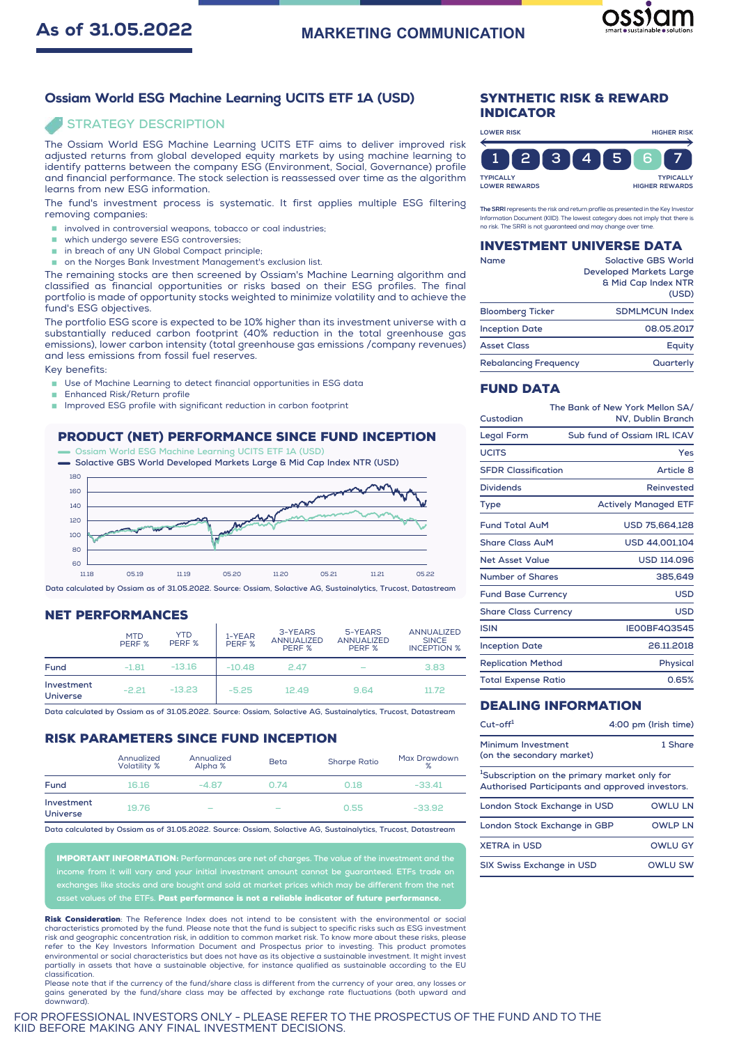# **MARKETING COMMUNICATION**



## Ossiam World ESG Machine Learning UCITS ETF 1A (USD)

## **STRATEGY DESCRIPTION**

The Ossiam World ESG Machine Learning UCITS ETF aims to deliver improved risk adjusted returns from global developed equity markets by using machine learning to identify patterns between the company ESG (Environment, Social, Governance) profile and financial performance. The stock selection is reassessed over time as the algorithm learns from new ESG information.

The fund's investment process is systematic. It first applies multiple ESG filtering removing companies:

- $\blacksquare$  involved in controversial weapons, tobacco or coal industries;
- which undergo severe ESG controversies;
- in breach of any UN Global Compact principle;
- on the Norges Bank Investment Management's exclusion list.

The remaining stocks are then screened by Ossiam's Machine Learning algorithm and classified as financial opportunities or risks based on their ESG profiles. The final portfolio is made of opportunity stocks weighted to minimize volatility and to achieve the fund's ESG objectives.

The portfolio ESG score is expected to be 10% higher than its investment universe with a substantially reduced carbon footprint (40% reduction in the total greenhouse gas emissions), lower carbon intensity (total greenhouse gas emissions /company revenues) and less emissions from fossil fuel reserves.

Key benefits:

- Use of Machine Learning to detect financial opportunities in ESG data
- Enhanced Risk/Return profile
- Improved ESG profile with significant reduction in carbon footprint

# PRODUCT (NET) PERFORMANCE SINCE FUND INCEPTION

**Ossiam World ESG Machine Learning UCITS ETF 1A (USD) Solactive GBS World Developed Markets Large & Mid Cap Index NTR (USD)**



**Data calculated by Ossiam as of 31.05.2022. Source: Ossiam, Solactive AG, Sustainalytics, Trucost, Datastream**

#### NET PERFORMANCES

|                               | <b>MTD</b><br>PERF % | <b>YTD</b><br>PERF % | 1-YEAR<br>PERF % | 3-YEARS<br><b>ANNUALIZED</b><br>PERF % | 5-YEARS<br><b>ANNUALIZED</b><br>PERF % | <b>ANNUALIZED</b><br><b>SINCE</b><br><b>INCEPTION %</b> |
|-------------------------------|----------------------|----------------------|------------------|----------------------------------------|----------------------------------------|---------------------------------------------------------|
| Fund                          | $-1.81$              | $-13.16$             | $-10.48$         | 2.47                                   | $\overline{\phantom{a}}$               | 3.83                                                    |
| Investment<br><b>Universe</b> | $-2.21$              | $-13.23$             | $-5.25$          | 12.49                                  | 9.64                                   | 11.72                                                   |

**Data calculated by Ossiam as of 31.05.2022. Source: Ossiam, Solactive AG, Sustainalytics, Trucost, Datastream**

### RISK PARAMETERS SINCE FUND INCEPTION

|                               | Annualized<br><b>Volatility %</b> | Annualized<br>Alpha %    | <b>Beta</b>              | <b>Sharpe Ratio</b> | Max Drawdown<br>% |
|-------------------------------|-----------------------------------|--------------------------|--------------------------|---------------------|-------------------|
| Fund                          | 16.16                             | $-4.87$                  | 0.74                     | 0.18                | $-33.41$          |
| Investment<br><b>Universe</b> | 19.76                             | $\overline{\phantom{a}}$ | $\overline{\phantom{a}}$ | 0.55                | $-33.92$          |

**Data calculated by Ossiam as of 31.05.2022. Source: Ossiam, Solactive AG, Sustainalytics, Trucost, Datastream**

IMPORTANT INFORMATION: **Performances are net of charges. The value of the investment and the income from it will vary and your initial investment amount cannot be guaranteed. ETFs trade on exchanges like stocks and are bought and sold at market prices which may be different from the net**

**as of the ETFs. Past performance is not a reliab** 

Risk Consideration: The Reference Index does not intend to be consistent with the environmental or social characteristics promoted by the fund. Please note that the fund is subject to specific risks such as ESG investment risk and geographic concentration risk, in addition to common market risk. To know more about these risks, please refer to the Key Investors Information Document and Prospectus prior to investing. This product promotes environmental or social characteristics but does not have as its objective a sustainable investment. It might invest partially in assets that have a sustainable objective, for instance qualified as sustainable according to the EU classification.<br>Please note that if the currency of the fund/share class is different from the currency of your area, any losses or

Please note that if the currency of the fund/share class is different from the currency of your area, any losses or<br>gains generated by the fund/share class may be affected by exchange rate fluctuations (both upward and<br>dow

FOR PROFESSIONAL INVESTORS ONLY - PLEASE REFER TO THE PROSPECTUS OF THE FUND AND TO THE KIID BEFORE MAKING ANY FINAL INVESTMENT DECISIONS.

#### SYNTHETIC RISK & REWARD INDICATOR



The SRRI represents the risk and return profile as presented in the Key Investor Information Document (KIID). The lowest category does not imply that there is no risk. The SRRI is not guaranteed and may change over time.

#### INVESTMENT UNIVERSE DATA

| Name                         | <b>Solactive GBS World</b><br><b>Developed Markets Large</b><br>& Mid Cap Index NTR<br>(USD) |
|------------------------------|----------------------------------------------------------------------------------------------|
| <b>Bloomberg Ticker</b>      | <b>SDMLMCUN Index</b>                                                                        |
| <b>Inception Date</b>        | 08.05.2017                                                                                   |
| <b>Asset Class</b>           | Equity                                                                                       |
| <b>Rebalancing Frequency</b> | Quarterly                                                                                    |

## FUND DATA

| Custodian                   | The Bank of New York Mellon SA/<br>NV, Dublin Branch |
|-----------------------------|------------------------------------------------------|
| Legal Form                  | Sub fund of Ossiam IRL ICAV                          |
| <b>UCITS</b>                | Yes                                                  |
| <b>SFDR Classification</b>  | Article 8                                            |
| <b>Dividends</b>            | Reinvested                                           |
| Type                        | <b>Actively Managed ETF</b>                          |
| <b>Fund Total AuM</b>       | USD 75,664,128                                       |
| <b>Share Class AuM</b>      | USD 44.001.104                                       |
| Net Asset Value             | <b>USD 114.096</b>                                   |
| Number of Shares            | 385.649                                              |
| <b>Fund Base Currency</b>   | USD                                                  |
| <b>Share Class Currency</b> | USD                                                  |
| <b>ISIN</b>                 | IE00BF4Q3545                                         |
| <b>Inception Date</b>       | 26.11.2018                                           |
| <b>Replication Method</b>   | Physical                                             |
| <b>Total Expense Ratio</b>  | 0.65%                                                |

# DEALING INFORMATION

| $Cut$ -off <sup>1</sup>                                                                                     | 4:00 pm (Irish time) |
|-------------------------------------------------------------------------------------------------------------|----------------------|
| Minimum Investment<br>(on the secondary market)                                                             | 1 Share              |
| <sup>1</sup> Subscription on the primary market only for<br>Authorised Participants and approved investors. |                      |
| London Stock Exchange in USD                                                                                | <b>OWIU IN</b>       |
| London Stock Exchange in GBP                                                                                | <b>OWLP LN</b>       |
| <b>XETRA in USD</b>                                                                                         | <b>OWLU GY</b>       |
| SIX Swiss Exchange in USD                                                                                   | OWLU SW              |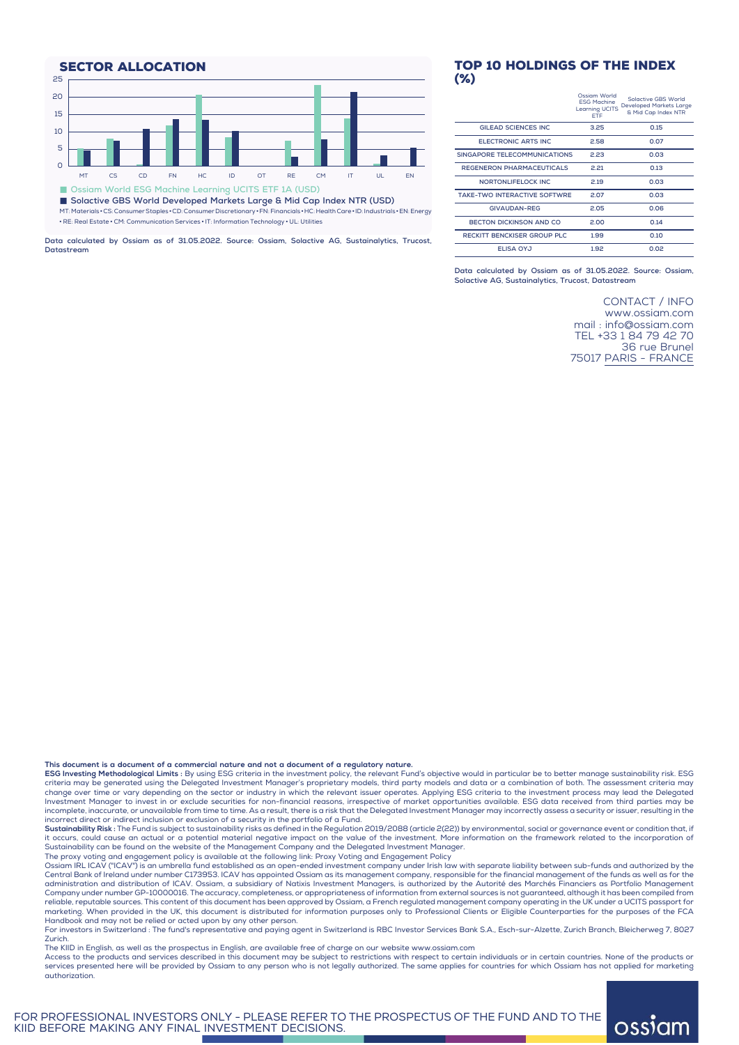SECTOR ALLOCATION 25  $20$ 15 10 5  $\Omega$ MT CS CD FN HC ID OT RE CM IT UL EN � **Ossiam World ESG Machine Learning UCITS ETF 1A (USD)** � **Solactive GBS World Developed Markets Large & Mid Cap Index NTR (USD)** MT:Materials • CS:ConsumerStaples •CD: ConsumerDiscretionary •FN:Financials •HC:HealthCare•ID: Industrials •EN:Energy • RE: Real Estate • CM: Communication Services • IT: Information Technology • UL: Utilities

**Data calculated by Ossiam as of 31.05.2022. Source: Ossiam, Solactive AG, Sustainalytics, Trucost, Datastream**

### TOP 10 HOLDINGS OF THE INDEX (%)

|                                     | Ossiam World<br><b>ESG Machine</b><br><b>Learning UCITS</b><br><b>FTF</b> | Solactive GBS World<br>Developed Markets Large<br>& Mid Cap Index NTR |
|-------------------------------------|---------------------------------------------------------------------------|-----------------------------------------------------------------------|
| GILEAD SCIENCES INC.                | 3.25                                                                      | 0.15                                                                  |
| ELECTRONIC ARTS INC.                | 2.58                                                                      | 0.07                                                                  |
| SINGAPORE TELECOMMUNICATIONS        | 2.23                                                                      | 0.03                                                                  |
| <b>REGENERON PHARMACEUTICALS</b>    | 2.21                                                                      | 0.13                                                                  |
| NORTONLIFELOCK INC.                 | 2.19                                                                      | 0.03                                                                  |
| <b>TAKE-TWO INTERACTIVE SOFTWRE</b> | 2.07                                                                      | 0.03                                                                  |
| <b>GIVAUDAN-REG</b>                 | 2.05                                                                      | 0.06                                                                  |
| <b>BECTON DICKINSON AND CO</b>      | 2.00                                                                      | 0.14                                                                  |
| <b>RECKITT BENCKISER GROUP PLC</b>  | 1.99                                                                      | 0.10                                                                  |
| <b>ELISA OYJ</b>                    | 1.92                                                                      | 0.02                                                                  |

**Data calculated by Ossiam as of 31.05.2022. Source: Ossiam, Solactive AG, Sustainalytics, Trucost, Datastream**

> CONTACT / INFO www.ossiam.com mail : info@ossiam.com TEL +33 1 84 79 42 70 36 rue Brunel 75017 PARIS - FRANCE

> > ossiam

**This document is a document of a commercial nature and not a document of a regulatory nature.**

**ESG Investing Methodological Limits** : By using ESG criteria in the investment policy, the relevant Fund's objective would in particular be to better manage sustainability risk. ESG<br>criteria may be generated using the Del change over time or vary depending on the sector or industry in which the relevant issuer operates. Applying ESG criteria to the investment process may lead the Delegated<br>Investment Manager to invest in or exclude securiti incomplete, inaccurate, or unavailable from time to time. As a result, there is a risk that the Delegated Investment Manager may incorrectly assess a security or issuer, resulting in the incorrect direct or indirect inclusion or exclusion of a security in the portfolio of a Fund.

**Sustainability Risk :** The Fund is subjectto sustainability risks as defined in the Regulation 2019/2088 (article 2(22)) by environmental, social or governance event or condition that, if it occurs, could cause an actual or a potential material negative impact on the value of the investment. More information on the framework related to the incorporation of<br>Sustainability can be found on the website of the M

The proxy voting and engagement policy is available at the following link: Proxy Voting and [Engagement](https://api.ossiam.net/front.file/Proxy%20Voting%20and%20Engagement%20Policy/EN) Policy

Ossiam IRL ICAV ("ICAV") is an umbrella fund established as an open-ended investment company under Irish law with separate liability between sub-funds and authorized by the<br>Central Bank of Ireland under number C173953. ICA administration and distribution of ICAV. Ossiam, a subsidiary of Natixis Investment Managers, is authorized by the Autorité des Marchés Financiers as Portfolio Management Company under number GP-10000016. The accuracy, completeness, or appropriateness of information from external sources is not guaranteed, although it has been compiled from<br>reliable, reputable sources. This content of this marketing. When provided in the UK, this document is distributed for information purposes only to Professional Clients or Eligible Counterparties for the purposes of the FCA Handbook and may not be relied or acted upon by any other person.

For investors in Switzerland : The fund's representative and paying agent in Switzerland is RBC Investor Services Bank S.A., Esch-sur-Alzette, Zurich Branch, Bleicherweg 7, 8027 Zurich.

The KIID in English, as well as the prospectus in English, are available free of charge on our website [www.ossiam.com](C:\Users\romane.duhot\Downloads\www.ossiam.com)

Access to the products and services described in this document may be subject to restrictions with respect to certain individuals or in certain countries. None of the products or services presented here will be provided by Ossiam to any person who is not legally authorized. The same applies for countries for which Ossiam has not applied for marketing authorization.

FOR PROFESSIONAL INVESTORS ONLY - PLEASE REFER TO THE PROSPECTUS OF THE FUND AND TO THE KIID BEFORE MAKING ANY FINAL INVESTMENT DECISIONS.